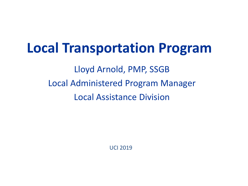## **Local Transportation Program**

Lloyd Arnold, PMP, SSGB Local Administered Program Manager Local Assistance Division

UCI 2019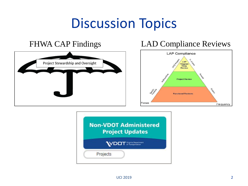# Discussion Topics



#### FHWA CAP Findings LAD Compliance Reviews



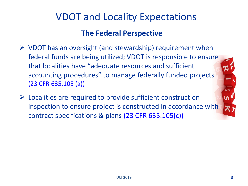#### VDOT and Locality Expectations

#### **The Federal Perspective**

- $\triangleright$  VDOT has an oversight (and stewardship) requirement when federal funds are being utilized; VDOT is responsible to ensure that localities have "adequate resources and sufficient accounting procedures" to manage federally funded projects (23 CFR 635.105 (a))
- $\triangleright$  Localities are required to provide sufficient construction inspection to ensure project is constructed in accordance with contract specifications & plans (23 CFR 635.105(c))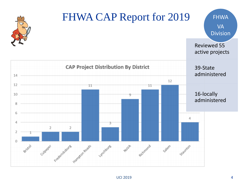

#### UCI 2019 4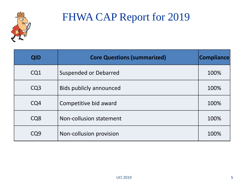

#### FHWA CAP Report for 2019

| <b>QID</b>      | <b>Core Questions (summarized)</b> | <b>Compliance</b> |
|-----------------|------------------------------------|-------------------|
| CQ1             | <b>Suspended or Debarred</b>       | 100%              |
| CQ <sub>3</sub> | <b>Bids publicly announced</b>     | 100%              |
| CQ4             | Competitive bid award              | 100%              |
| CQ <sub>8</sub> | Non-collusion statement            | 100%              |
| CO9             | Non-collusion provision            | 100%              |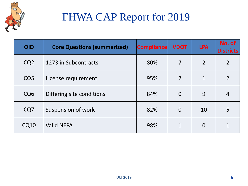

## FHWA CAP Report for 2019

| <b>QID</b>      | <b>Core Questions (summarized)</b> | <b>Compliance</b> | <b>VDOT</b>    | <b>LPA</b>     | No. of<br><b>Districts</b> |
|-----------------|------------------------------------|-------------------|----------------|----------------|----------------------------|
| CQ <sub>2</sub> | 1273 in Subcontracts               | 80%               | 7              | $\overline{2}$ | $\overline{2}$             |
| CQ <sub>5</sub> | License requirement                | 95%               | $\overline{2}$ | $\mathbf{1}$   | $\overline{2}$             |
| CQ <sub>6</sub> | Differing site conditions          | 84%               | $\Omega$       | 9              | $\overline{4}$             |
| CQ7             | Suspension of work                 | 82%               | $\overline{0}$ | 10             | 5                          |
| <b>CQ10</b>     | <b>Valid NEPA</b>                  | 98%               |                | $\overline{0}$ |                            |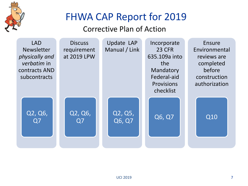

## FHWA CAP Report for 2019

#### Corrective Plan of Action

| <b>LAD</b>        | <b>Discuss</b>            | <b>Update LAP</b> | Incorporate   | Ensure        |
|-------------------|---------------------------|-------------------|---------------|---------------|
| <b>Newsletter</b> | requirement               | Manual / Link     | <b>23 CFR</b> | Environmental |
| physically and    | at 2019 LPW               |                   | 635.109a into | reviews are   |
| verbatim in       |                           |                   | the           | completed     |
| contracts AND     |                           |                   | Mandatory     | before        |
| subcontracts      |                           |                   | Federal-aid   | construction  |
|                   |                           |                   | Provisions    | authorization |
|                   |                           |                   | checklist     |               |
| Q2, Q6,<br>Q7     | Q2, Q6,<br>Q <sub>7</sub> | Q2, Q5,<br>Q6, Q7 | Q6, Q7        | Q10           |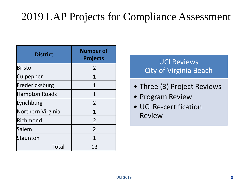#### 2019 LAP Projects for Compliance Assessment

| <b>District</b>      | <b>Number of</b><br><b>Projects</b> |  |  |
|----------------------|-------------------------------------|--|--|
| <b>Bristol</b>       | 2                                   |  |  |
| Culpepper            | 1                                   |  |  |
| Fredericksburg       | 1                                   |  |  |
| <b>Hampton Roads</b> | 1                                   |  |  |
| Lynchburg            | $\overline{2}$                      |  |  |
| Northern Virginia    | 1                                   |  |  |
| Richmond             | $\overline{2}$                      |  |  |
| Salem                | $\overline{2}$                      |  |  |
| Staunton             | 1                                   |  |  |
| Total                | 13                                  |  |  |

UCI Reviews City of Virginia Beach

- Three (3) Project Reviews
- Program Review
- UCI Re-certification Review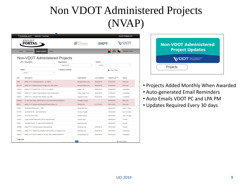## Non VDOT Administered Projects (NVAP)

|               | Virginia.gov<br><b>Agencies   Governor</b>                  |                    |                                        |                     |                 | <b>Search Virginia.Gov</b> |
|---------------|-------------------------------------------------------------|--------------------|----------------------------------------|---------------------|-----------------|----------------------------|
|               | $_{SMART$<br>PORTAL                                         |                    | <b>NTERMODAL</b><br>ing and Investment |                     |                 |                            |
| Home          | <b>Project Updates</b><br><b>About</b><br>Dashboard         |                    |                                        |                     |                 | Kimberly Pryor+            |
|               | Non-VDOT Administered Projects<br><b>UPC / Description</b>  | Organization       |                                        | <b>District</b>     |                 |                            |
|               |                                                             | -- Organization -- | ٠                                      | -- District --      |                 | ٠                          |
| <b>Status</b> | $-$ Status $-$<br>٠                                         | Display Archived   |                                        |                     | O Clear Filters |                            |
| <b>UPC</b>    | Description                                                 |                    | Organization                           | <b>Last Updated</b> | Update Due      | <b>Status</b>              |
| 4483          | #HB2.FY17 ATKINSON BLVD - 4 LANES                           |                    | Newport News City                      | 05/20/2018          | 07/20/2018      | Past Due                   |
| 101279        | #HB2.FY17 Replacement of bridge over Lake Maury             |                    | Newport News City                      | 06/20/2018          | 07/20/2018      | Past Due                   |
| 105753        | #HB2.FY17 WIDEN RTE. 11 (2 TO 4 LANES)                      |                    | <b>Bristol City</b>                    | 06/22/2018          | 07/22/2018      | Completed                  |
| 105099        | #HB2.FY17 Clifton Forge Business Park Access Road           |                    | Clifton Forge Town                     | 06/28/2018          | 07/28/2018      | Completed                  |
| 106053        | #HB2.FY17 Lifecore Drive Shared-Use Path                    |                    | Augusta County                         | 06/28/2018          | 07/28/2018      | Completed                  |
| 106968        | S. WALTER REED DRIVE BICYCLE & PED IMPROVEMENTS             |                    | Arlington County                       |                     | 08/08/2018      | Past Due                   |
| 98815         | #HB2.FY17 Godwin Blvd/Route 58 Park & Ride Lot.             |                    | Suffolk City                           | 07/12/2018          | 08/11/2018      | Past Due                   |
| 110279        | Strasburg Streetscape - C502                                |                    | Strasburg Town                         |                     | 08/22/2018      | Due in 7 days              |
| 107176        | GLENSIDE DR - ADD SIDEWALK                                  |                    | <b>Henrico County</b>                  |                     | 08/24/2018      | Due in 9 days              |
| 110477        | <b>SCOTTS RUN TRAIL</b>                                     |                    | Fairfax County                         |                     | 08/24/2018      | Due in 9 days              |
| 107661        | Louise Archer Elementary SRTS Improvements                  |                    | Vienna Town                            |                     | 08/26/2018      | Current                    |
| 19035         | JAHNKE ROAD - 2 LANE IMPROVEMENTS                           |                    | Richmond City                          |                     | 08/29/2018      | Current                    |
| 108896        | #HB2.FY17 Colonial Avenue Improvements                      |                    | Roanoke City                           | 08/02/2018          | 09/01/2018      | Current                    |
| 109288        | #HB2 FY17 Transit Accessibility Improvements on Edgewood St |                    | Roanoke City                           | 08/02/2018          | 09/01/2018      | Completed                  |
| 109379        | #HB2 FY17 SOUTH MAIN ST & MLK WAY IMPROVEMENTS              |                    | Harrisonburg City                      | 08/03/2018          | 09/02/2018      | Completed                  |
| Page Size     |                                                             |                    |                                        |                     |                 | <b>16 Total Results</b>    |

| <b>Non-VDOT Administered</b><br><b>Project Updates</b> |  |
|--------------------------------------------------------|--|
| <b>WDOT</b> State                                      |  |
| Projects                                               |  |

- Projects Added Monthly When Awarded
- Auto-generated Email Reminders
- Auto Emails VDOT PC and LPA PM
- Updates Required Every 30 days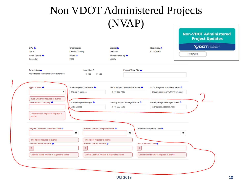#### Non VDOT Administered Projects (NVAP)

| UPC $\theta$                                                            | Organization                                             | District <b>O</b>                                             | Residency <b>O</b>                                                         | <b>WDOT</b> Statement |
|-------------------------------------------------------------------------|----------------------------------------------------------|---------------------------------------------------------------|----------------------------------------------------------------------------|-----------------------|
| 104262                                                                  | <b>Frederick County</b>                                  | Staunton                                                      | <b>EDINBURG</b>                                                            | Projects              |
| Road System <sup>6</sup><br>Secondary                                   | Route <sup>6</sup><br>0896                               | Administered By <sup>0</sup><br>Locally                       |                                                                            |                       |
| Description <b>O</b><br>Airport Road and Warrior Drive Extension        | Is archived?<br>® No<br>O Yes                            | Project Team Site <sup>8</sup>                                |                                                                            |                       |
| Type Of Work <sup>0</sup><br>$\boldsymbol{\mathrm{v}}$                  | VDOT Project Coordinator <sup>0</sup><br>Steven K Damron | VDOT Project Coordinator Phone <sup>0</sup><br>(540) 332-7389 | <b>VDOT Project Coordinator Email O</b><br>Steven.Damron@VDOT.Virginia.gov |                       |
| Type Of Work is required to submit<br>Construction Company <sup>6</sup> | Locality Project Manager <sup>O</sup>                    | Locality Project Manager Phone <sup>8</sup>                   | Locality Project Manager Email <sup>0</sup>                                |                       |
|                                                                         | John Bishop                                              | $(540) 665 - 5643$                                            | jbishop@co.frederick.va.us                                                 |                       |
| Construction Company is required to<br>submit                           |                                                          |                                                               |                                                                            |                       |
| Original Contract Completion Date <sup>O</sup>                          | Current Contract Completion Date <sup>O</sup><br>Œ       | Œ                                                             | Contract Acceptance Date <sup>O</sup>                                      | m                     |
| This field is required to submit                                        | This field is required to submit                         |                                                               |                                                                            |                       |
| Contract Award Amount 8                                                 | Current Contract Amount <b>6</b>                         |                                                               | Cost of Work to Date <sup>6</sup>                                          |                       |
|                                                                         | $\mathbb S$                                              | s                                                             |                                                                            |                       |
| S.                                                                      |                                                          |                                                               |                                                                            |                       |
| Contract Award Amount is required to submit                             | Current Contract Amount is required to submit            |                                                               | Cost of Work to Date is required to submit                                 |                       |